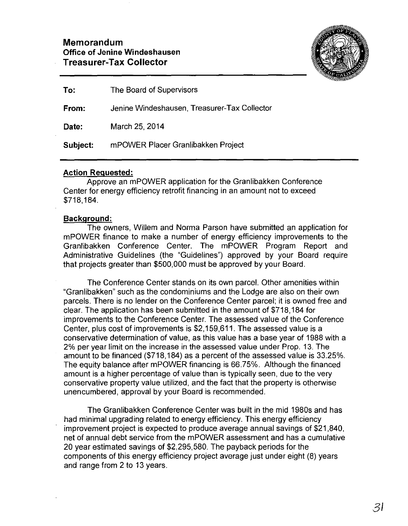

| To:      | The Board of Supervisors                     |
|----------|----------------------------------------------|
| From:    | Jenine Windeshausen, Treasurer-Tax Collector |
| Date:    | March 25, 2014                               |
| Subject: | mPOWER Placer Granlibakken Project           |

### **Action Requested:**

Approve an mPOWER application for the Granlibakken Conference Center for energy efficiency retrofit financing in an amount not to exceed \$718,184.

### **Background:**

The owners, Willem and Norma Parson have submitted an application for mPOWER finance to make a number of energy efficiency improvements to the Granlibakken Conference Center. The mPOWER Program Report and Administrative Guidelines (the "Guidelines") approved by your Board require that projects greater than \$500,000 must be approved by your Board.

The Conference Center stands on its own parcel. Other amenities within "Granlibakken" such as the condominiums and the Lodge are also on their own parcels. There is no lender on the Conference Center parcel; it is owned free and clear. The application has been submitted in the amount of \$718,184 for improvements to the Conference Center. The assessed value of the Conference Center, plus cost of improvements is \$2,159,611. The assessed value is a conservative determination of value, as this value has a base year of 1988 with a 2% per year limit on the increase in the assessed value under Prop. 13. The amount to be financed (\$718, 184) as a percent of the assessed value is 33.25%. The equity balance after mPOWER financing is 66.75%. Although the financed amount is a higher percentage of value than is typically seen, due to the very conservative property value utilized, and the fact that the property is otherwise unencumbered, approval by your Board is recommended.

The Granlibakken Conference Center was built in the mid 1980s and has had minimal upgrading related to energy efficiency. This energy efficiency improvement project is expected to produce average annual savings of \$21,840, net of annual debt service from the mPOWER assessment and has a cumulative 20 year estimated savings of \$2,295,580. The payback periods for the components of this energy efficiency project average just under eight (8) years and range from 2 to 13 years.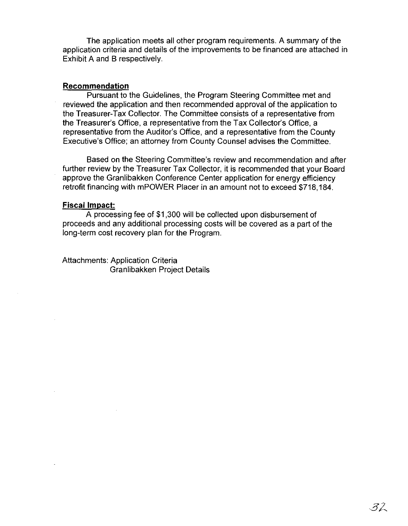The application meets all other program requirements. A summary of the application criteria and details of the improvements to be financed are attached in Exhibit A and B respectively.

#### **Recommendation**

Pursuant to the Guidelines, the Program Steering Committee met and reviewed the application and then recommended approval of the application to the Treasurer-Tax Collector. The Committee consists of a representative from the Treasurer's Office, a representative from the Tax Collector's Office, a representative from the Auditor's Office, and a representative from the County Executive's Office; an attorney from County Counsel advises the Committee.

Based on the Steering Committee's review and recommendation and after further review by the Treasurer Tax Collector, it is recommended that your Board approve the Granlibakken Conference Center application for energy efficiency retrofit financing with mPOWER Placer in an amount not to exceed \$718,184.

#### **Fiscal Impact:**

A processing fee of \$1 ,300 will be collected upon disbursement of proceeds and any additional processing costs will be covered as a part of the long-term cost recovery plan for the Program.

Attachments: Application Criteria Granlibakken Project Details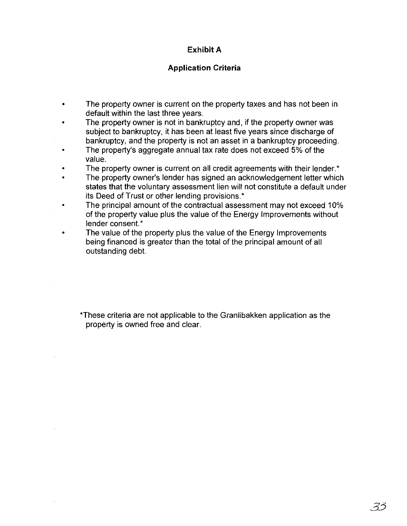# **Exhibit A**

## **Application Criteria**

- The property owner is current on the property taxes and has not been in default within the last three years.
- The property owner is not in bankruptcy and, if the property owner was subject to bankruptcy, it has been at least five years since discharge of bankruptcy, and the property is not an asset in a bankruptcy proceeding.
- The property's aggregate annual tax rate does not exceed 5% of the value.
- The property owner is current on all credit agreements with their lender.\*
- The property owner's lender has signed an acknowledgement letter which states that the voluntary assessment lien will not constitute a default under its Deed of Trust or other lending provisions.\*
- The principal amount of the contractual assessment may not exceed 10% of the property value plus the value of the Energy Improvements without lender consent.\*
- The value of the property plus the value of the Energy Improvements being financed is greater than the total of the principal amount of all outstanding debt.

\*These criteria are not applicable to the Granlibakken application as the property is owned free and clear.